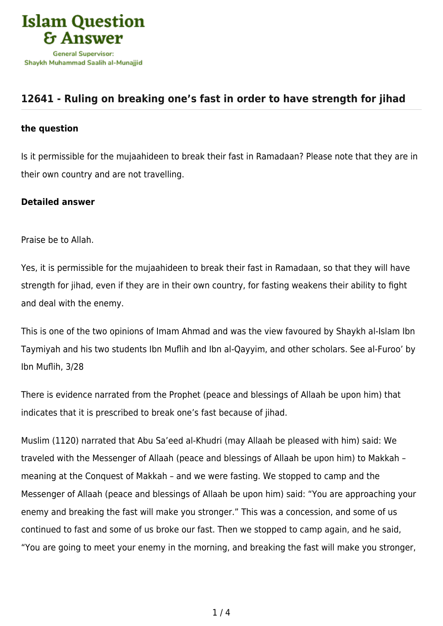

## **[12641 - Ruling on breaking one's fast in order to have strength for jihad](https://islamqa.com/en/answers/12641/ruling-on-breaking-ones-fast-in-order-to-have-strength-for-jihad)**

## **the question**

Is it permissible for the mujaahideen to break their fast in Ramadaan? Please note that they are in their own country and are not travelling.

## **Detailed answer**

Praise be to Allah.

Yes, it is permissible for the mujaahideen to break their fast in Ramadaan, so that they will have strength for jihad, even if they are in their own country, for fasting weakens their ability to fight and deal with the enemy.

This is one of the two opinions of Imam Ahmad and was the view favoured by Shaykh al-Islam Ibn Taymiyah and his two students Ibn Muflih and Ibn al-Qayyim, and other scholars. See al-Furoo' by Ibn Muflih, 3/28

There is evidence narrated from the Prophet (peace and blessings of Allaah be upon him) that indicates that it is prescribed to break one's fast because of jihad.

Muslim (1120) narrated that Abu Sa'eed al-Khudri (may Allaah be pleased with him) said: We traveled with the Messenger of Allaah (peace and blessings of Allaah be upon him) to Makkah – meaning at the Conquest of Makkah – and we were fasting. We stopped to camp and the Messenger of Allaah (peace and blessings of Allaah be upon him) said: "You are approaching your enemy and breaking the fast will make you stronger." This was a concession, and some of us continued to fast and some of us broke our fast. Then we stopped to camp again, and he said, "You are going to meet your enemy in the morning, and breaking the fast will make you stronger,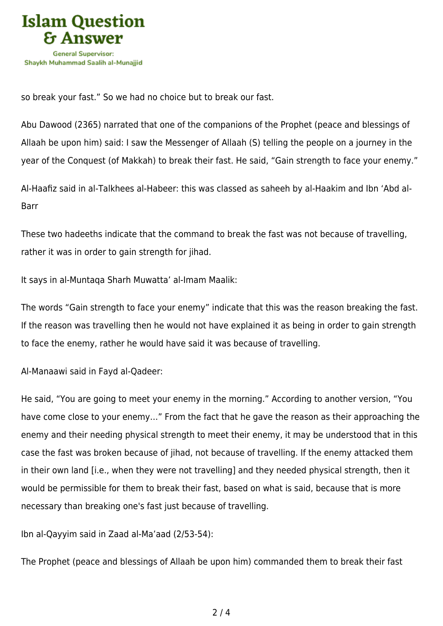

so break your fast." So we had no choice but to break our fast.

Abu Dawood (2365) narrated that one of the companions of the Prophet (peace and blessings of Allaah be upon him) said: I saw the Messenger of Allaah (S) telling the people on a journey in the year of the Conquest (of Makkah) to break their fast. He said, "Gain strength to face your enemy."

Al-Haafiz said in al-Talkhees al-Habeer: this was classed as saheeh by al-Haakim and Ibn 'Abd al-Barr

These two hadeeths indicate that the command to break the fast was not because of travelling, rather it was in order to gain strength for jihad.

It says in al-Muntaqa Sharh Muwatta' al-Imam Maalik:

The words "Gain strength to face your enemy" indicate that this was the reason breaking the fast. If the reason was travelling then he would not have explained it as being in order to gain strength to face the enemy, rather he would have said it was because of travelling.

Al-Manaawi said in Fayd al-Qadeer:

He said, "You are going to meet your enemy in the morning." According to another version, "You have come close to your enemy…" From the fact that he gave the reason as their approaching the enemy and their needing physical strength to meet their enemy, it may be understood that in this case the fast was broken because of jihad, not because of travelling. If the enemy attacked them in their own land [i.e., when they were not travelling] and they needed physical strength, then it would be permissible for them to break their fast, based on what is said, because that is more necessary than breaking one's fast just because of travelling.

Ibn al-Qayyim said in Zaad al-Ma'aad (2/53-54):

The Prophet (peace and blessings of Allaah be upon him) commanded them to break their fast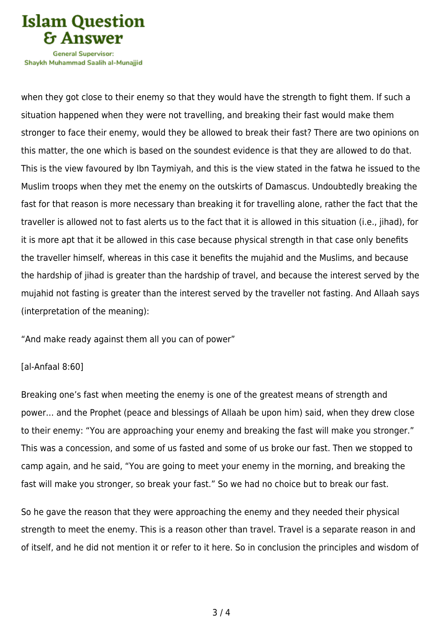

**General Supervisor:** Shavkh Muhammad Saalih al-Munaiiid

when they got close to their enemy so that they would have the strength to fight them. If such a situation happened when they were not travelling, and breaking their fast would make them stronger to face their enemy, would they be allowed to break their fast? There are two opinions on this matter, the one which is based on the soundest evidence is that they are allowed to do that. This is the view favoured by Ibn Taymiyah, and this is the view stated in the fatwa he issued to the Muslim troops when they met the enemy on the outskirts of Damascus. Undoubtedly breaking the fast for that reason is more necessary than breaking it for travelling alone, rather the fact that the traveller is allowed not to fast alerts us to the fact that it is allowed in this situation (i.e., jihad), for it is more apt that it be allowed in this case because physical strength in that case only benefits the traveller himself, whereas in this case it benefits the mujahid and the Muslims, and because the hardship of jihad is greater than the hardship of travel, and because the interest served by the mujahid not fasting is greater than the interest served by the traveller not fasting. And Allaah says (interpretation of the meaning):

"And make ready against them all you can of power"

## [al-Anfaal 8:60]

Breaking one's fast when meeting the enemy is one of the greatest means of strength and power… and the Prophet (peace and blessings of Allaah be upon him) said, when they drew close to their enemy: "You are approaching your enemy and breaking the fast will make you stronger." This was a concession, and some of us fasted and some of us broke our fast. Then we stopped to camp again, and he said, "You are going to meet your enemy in the morning, and breaking the fast will make you stronger, so break your fast." So we had no choice but to break our fast.

So he gave the reason that they were approaching the enemy and they needed their physical strength to meet the enemy. This is a reason other than travel. Travel is a separate reason in and of itself, and he did not mention it or refer to it here. So in conclusion the principles and wisdom of